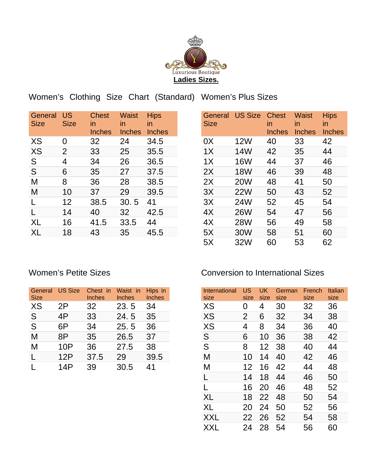

Women's Clothing Size Chart (Standard) Women's Plus Sizes

| General<br><b>Size</b> | US<br><b>Size</b> | <b>Chest</b><br>in<br><b>Inches</b> | <b>Waist</b><br>in<br><b>Inches</b> | <b>Hips</b><br>in<br><b>Inches</b> |
|------------------------|-------------------|-------------------------------------|-------------------------------------|------------------------------------|
| <b>XS</b>              | 0                 | 32                                  | 24                                  | 34.5                               |
| <b>XS</b>              | $\overline{2}$    | 33                                  | 25                                  | 35.5                               |
| S                      | 4                 | 34                                  | 26                                  | 36.5                               |
| S                      | 6                 | 35                                  | 27                                  | 37.5                               |
| М                      | 8                 | 36                                  | 28                                  | 38.5                               |
| М                      | 10                | 37                                  | 29                                  | 39.5                               |
| L                      | 12                | 38.5                                | 30.5                                | 41                                 |
| L                      | 14                | 40                                  | 32                                  | 42.5                               |
| <b>XL</b>              | 16                | 41.5                                | 33.5                                | 44                                 |
| XL                     | 18                | 43                                  | 35                                  | 45.5                               |

| General     | <b>US Size</b> | <b>Chest</b>  | Waist         | <b>Hips</b>   |
|-------------|----------------|---------------|---------------|---------------|
| <b>Size</b> |                | in            | in            | in            |
|             |                | <b>Inches</b> | <b>Inches</b> | <b>Inches</b> |
| 0X          | <b>12W</b>     | 40            | 33            | 42            |
| 1X          | 14W            | 42            | 35            | 44            |
| 1X          | <b>16W</b>     | 44            | 37            | 46            |
| 2X          | <b>18W</b>     | 46            | 39            | 48            |
| 2X          | <b>20W</b>     | 48            | 41            | 50            |
| 3X          | <b>22W</b>     | 50            | 43            | 52            |
| 3X          | 24W            | 52            | 45            | 54            |
| 4X          | <b>26W</b>     | 54            | 47            | 56            |
| 4X          | <b>28W</b>     | 56            | 49            | 58            |
| 5X          | 30W            | 58            | 51            | 60            |
| 5X          | 32W            | 60            | 53            | 62            |

# Women's Petite Sizes

| General<br><b>Size</b> | <b>US Size</b> | Chest in<br><b>Inches</b> | Waist in<br><b>Inches</b> | Hips in<br><b>Inches</b> |
|------------------------|----------------|---------------------------|---------------------------|--------------------------|
| <b>XS</b>              | 2P             | 32                        | 23.5                      | 34                       |
| S                      | 4P             | 33                        | 24.5                      | 35                       |
| S                      | 6P             | 34                        | 25.5                      | 36                       |
| М                      | 8P             | 35                        | 26.5                      | 37                       |
| М                      | 10P            | 36                        | 27.5                      | 38                       |
|                        | 12P            | 37.5                      | 29                        | 39.5                     |
|                        | 14P            | 39                        | 30.5                      | 41                       |

#### Conversion to International Sizes

| International<br>size | US<br>size | UK<br>size | German<br>size | French<br>size | Italian<br>size |
|-----------------------|------------|------------|----------------|----------------|-----------------|
| XS                    | 0          | 4          | 30             | 32             | 36              |
| <b>XS</b>             | 2          | 6          | 32             | 34             | 38              |
| <b>XS</b>             | 4          | 8          | 34             | 36             | 40              |
| S                     | 6          | 10         | 36             | 38             | 42              |
| S                     | 8          | 12         | 38             | 40             | 44              |
| М                     | 10         | 14         | 40             | 42             | 46              |
| М                     | 12         | 16         | 42             | 44             | 48              |
| L                     | 14         | 18         | 44             | 46             | 50              |
| L                     | 16         | 20         | 46             | 48             | 52              |
| XL                    | 18         | 22         | 48             | 50             | 54              |
| XL                    | 20         | 24         | 50             | 52             | 56              |
| XXL                   | 22         | 26         | 52             | 54             | 58              |
| XXL                   | 24         | 28         | 54             | 56             | 60              |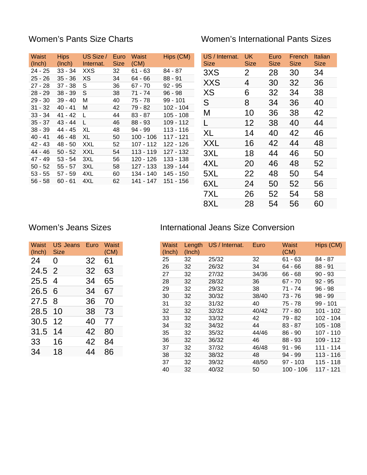## Women's Pants Size Charts

## Women's International Pants Sizes

| <b>Waist</b><br>(Inch) | <b>Hips</b><br>(Inch) | US Size /<br>Internat. | Euro<br><b>Size</b> | <b>Waist</b><br>(CM) | Hips (CM)   | US / Internat.<br><b>Size</b> | <b>UK</b><br><b>Size</b> | Euro<br><b>Size</b> | French<br><b>Size</b> | Italian<br><b>Size</b> |
|------------------------|-----------------------|------------------------|---------------------|----------------------|-------------|-------------------------------|--------------------------|---------------------|-----------------------|------------------------|
| 24 - 25                | $33 - 34$             | <b>XXS</b>             | 32                  | 61 - 63              | 84 - 87     | 3XS                           | $\overline{2}$           | 28                  | 30                    | 34                     |
| $25 - 26$              | $35 - 36$             | XS                     | 34                  | $64 - 66$            | $88 - 91$   | <b>XXS</b>                    | 4                        | 30                  | 32                    | 36                     |
| $27 - 28$              | $37 - 38$             | S                      | 36                  | $67 - 70$            | $92 - 95$   |                               |                          |                     |                       |                        |
| $28 - 29$              | $38 - 39$             | S                      | 38                  | $71 - 74$            | $96 - 98$   | <b>XS</b>                     | 6                        | 32                  | 34                    | 38                     |
| $29 - 30$              | $39 - 40$             | Μ                      | 40                  | 75 - 78              | $99 - 101$  | S                             | 8                        | 34                  | 36                    | 40                     |
| $31 - 32$              | $40 - 41$             | M                      | 42                  | 79 - 82              | $102 - 104$ |                               |                          |                     |                       |                        |
| $33 - 34$              | $41 - 42$             | L                      | 44                  | $83 - 87$            | $105 - 108$ | M                             | 10                       | 36                  | 38                    | 42                     |
| $35 - 37$              | $43 - 44$             |                        | 46                  | $88 - 93$            | $109 - 112$ |                               | 12                       | 38                  | 40                    | 44                     |
| $38 - 39$              | 44 - 45               | XL                     | 48                  | 94 - 99              | $113 - 116$ | XL                            | 14                       | 40                  | 42                    | 46                     |
| $40 - 41$              | $46 - 48$             | XL                     | 50                  | $100 - 106$          | 117 - 121   |                               |                          |                     |                       |                        |
| 42 - 43                | $48 - 50$             | <b>XXL</b>             | 52                  | $107 - 112$          | 122 - 126   | <b>XXL</b>                    | 16                       | 42                  | 44                    | 48                     |
| 44 - 46                | $50 - 52$             | <b>XXL</b>             | 54                  | $113 - 119$          | 127 - 132   | 3XL                           | 18                       | 44                  | 46                    | 50                     |
| 47 - 49                | $53 - 54$             | 3XL                    | 56                  | 120 - 126            | 133 - 138   |                               |                          |                     |                       |                        |
| $50 - 52$              | $55 - 57$             | 3XL                    | 58                  | 127 - 133            | 139 - 144   | 4XL                           | 20                       | 46                  | 48                    | 52                     |
| $53 - 55$              | $57 - 59$             | 4XL                    | 60                  | 134 - 140            | 145 - 150   | 5XL                           | 22                       | 48                  | 50                    | 54                     |
| $56 - 58$              | $60 - 61$             | 4XL                    | 62                  | 141 - 147            | 151 - 156   | 6XL                           | 24                       | 50                  | 52                    | 56                     |
|                        |                       |                        |                     |                      |             | 7XL                           | 26                       | 52                  | 54                    | 58                     |
|                        |                       |                        |                     |                      |             |                               |                          |                     |                       |                        |
|                        |                       |                        |                     |                      |             | 8XL                           | 28                       | 54                  | 56                    | 60                     |

#### Women's Jeans Sizes

| Waist<br>(Inch) | US Jeans<br><b>Size</b> | Euro | Waist<br>(CM) |
|-----------------|-------------------------|------|---------------|
| 24              | O                       | 32   | 61            |
| 24.5            | 2                       | 32   | 63            |
| 25.5            | 4                       | 34   | 65            |
| 26.5            | 6                       | 34   | 67            |
| 27.5            | 8                       | 36   | 70            |
| 28.5            | 10                      | 38   | 73            |
| 30.5            | 12                      | 40   | 77            |
| 31.5            | 14                      | 42   | 80            |
| 33              | 16                      | 42   | 84            |
| 34              | 18                      | 44   | 86            |

## International Jeans Size Conversion

| Waist<br>(Inch) | Length<br>(Inch) | US / Internat. | Euro  | Waist<br>(CM) | Hips (CM) |
|-----------------|------------------|----------------|-------|---------------|-----------|
| 25              | 32               | 25/32          | 32    | 61 - 63       | 84 - 87   |
| 26              | 32               | 26/32          | 34    | 64 - 66       | $88 - 91$ |
| 27              | 32               | 27/32          | 34/36 | $66 - 68$     | $90 - 93$ |
| 28              | 32               | 28/32          | 36    | 67 - 70       | $92 - 95$ |
| 29              | 32               | 29/32          | 38    | 71 - 74       | $96 - 98$ |
| 30              | 32               | 30/32          | 38/40 | 73 - 76       | 98 - 99   |
| 31              | 32               | 31/32          | 40    | 75 - 78       | 99 - 101  |
| 32              | 32               | 32/32          | 40/42 | 77 - 80       | 101 - 102 |
| 33              | 32               | 33/32          | 42    | 79 - 82       | 102 - 104 |
| 34              | 32               | 34/32          | 44    | $83 - 87$     | 105 - 108 |
| 35              | 32               | 35/32          | 44/46 | $86 - 90$     | 107 - 110 |
| 36              | 32               | 36/32          | 46    | $88 - 93$     | 109 - 112 |
| 37              | 32               | 37/32          | 46/48 | 91 - 96       | 111 - 114 |
| 38              | 32               | 38/32          | 48    | 94 - 99       | 113 - 116 |
| 37              | 32               | 39/32          | 48/50 | $97 - 103$    | 115 - 118 |
| 40              | 32               | 40/32          | 50    | 100 - 106     | 117 - 121 |
|                 |                  |                |       |               |           |